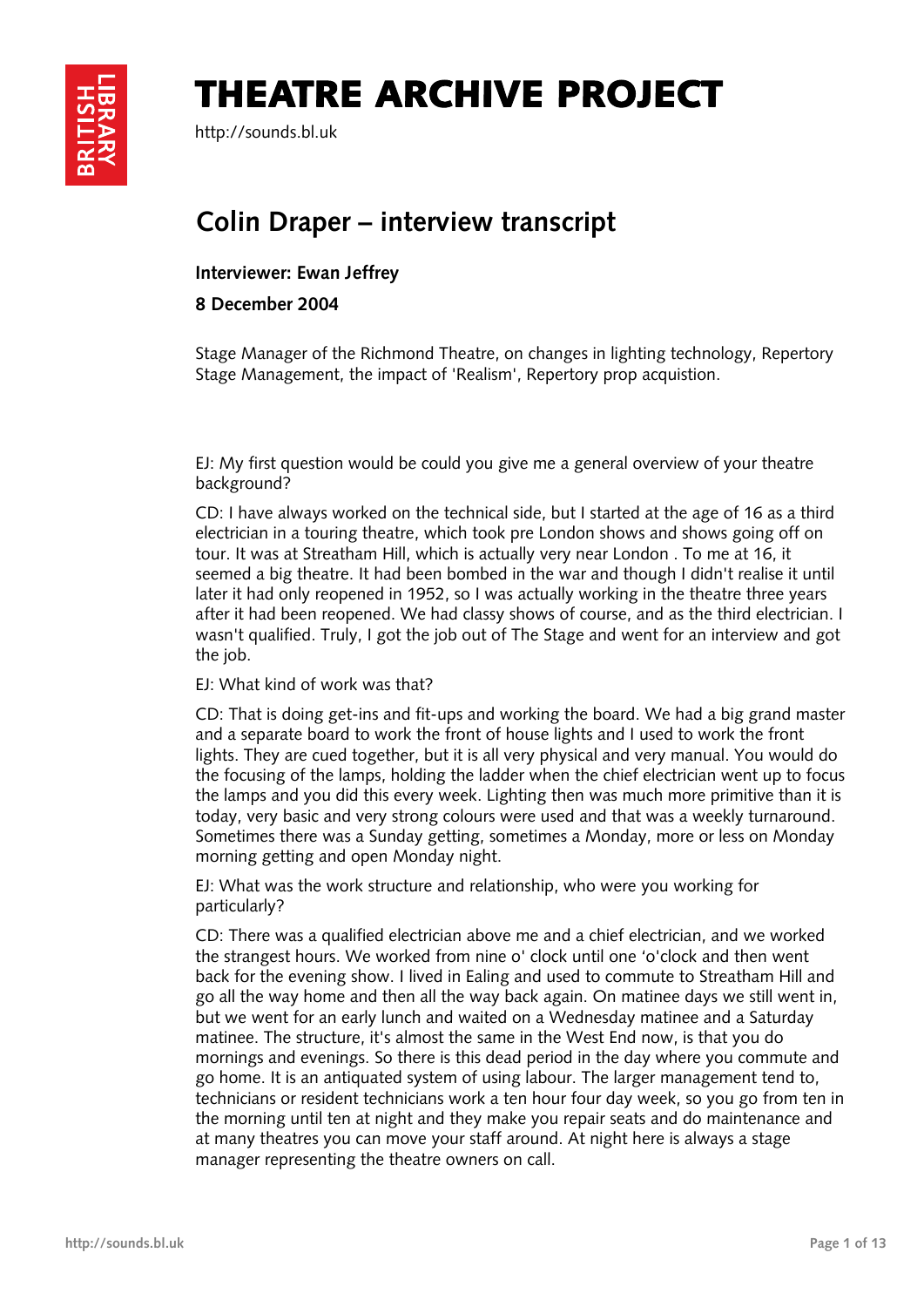## THEATRE ARCHIVE PROJECT



http://sounds.bl.uk

## **Colin Draper – interview transcript**

**Interviewer: Ewan Jeffrey** 

**8 December 2004** 

Stage Manager of the Richmond Theatre, on changes in lighting technology, Repertory Stage Management, the impact of 'Realism', Repertory prop acquistion.

EJ: My first question would be could you give me a general overview of your theatre background?

CD: I have always worked on the technical side, but I started at the age of 16 as a third electrician in a touring theatre, which took pre London shows and shows going off on tour. It was at Streatham Hill, which is actually very near London . To me at 16, it seemed a big theatre. It had been bombed in the war and though I didn't realise it until later it had only reopened in 1952, so I was actually working in the theatre three years after it had been reopened. We had classy shows of course, and as the third electrician. I wasn't qualified. Truly, I got the job out of The Stage and went for an interview and got the job.

EJ: What kind of work was that?

CD: That is doing get-ins and fit-ups and working the board. We had a big grand master and a separate board to work the front of house lights and I used to work the front lights. They are cued together, but it is all very physical and very manual. You would do the focusing of the lamps, holding the ladder when the chief electrician went up to focus the lamps and you did this every week. Lighting then was much more primitive than it is today, very basic and very strong colours were used and that was a weekly turnaround. Sometimes there was a Sunday getting, sometimes a Monday, more or less on Monday morning getting and open Monday night.

EJ: What was the work structure and relationship, who were you working for particularly?

CD: There was a qualified electrician above me and a chief electrician, and we worked the strangest hours. We worked from nine o' clock until one 'o'clock and then went back for the evening show. I lived in Ealing and used to commute to Streatham Hill and go all the way home and then all the way back again. On matinee days we still went in, but we went for an early lunch and waited on a Wednesday matinee and a Saturday matinee. The structure, it's almost the same in the West End now, is that you do mornings and evenings. So there is this dead period in the day where you commute and go home. It is an antiquated system of using labour. The larger management tend to, technicians or resident technicians work a ten hour four day week, so you go from ten in the morning until ten at night and they make you repair seats and do maintenance and at many theatres you can move your staff around. At night here is always a stage manager representing the theatre owners on call.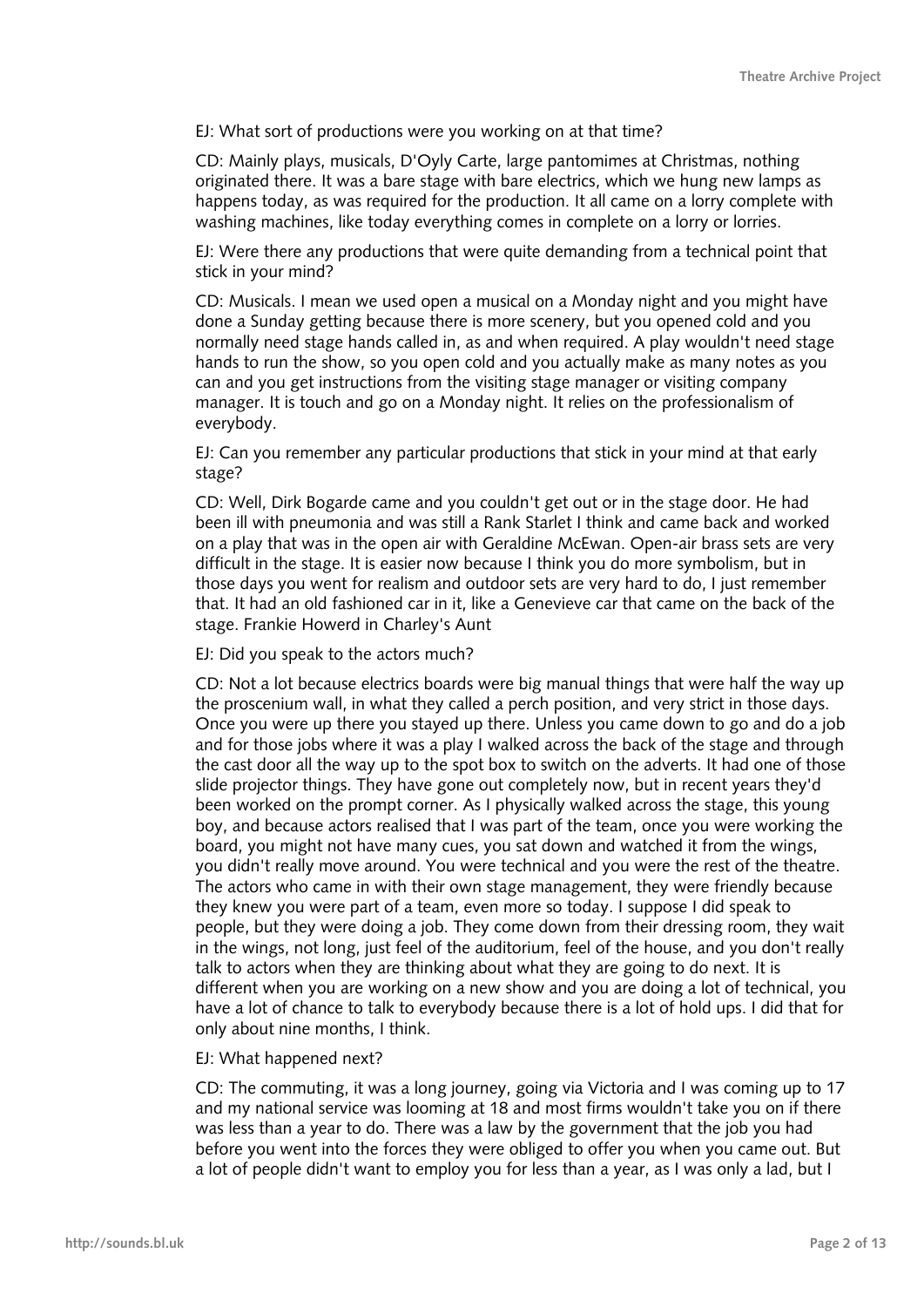EJ: What sort of productions were you working on at that time?

CD: Mainly plays, musicals, D'Oyly Carte, large pantomimes at Christmas, nothing originated there. It was a bare stage with bare electrics, which we hung new lamps as happens today, as was required for the production. It all came on a lorry complete with washing machines, like today everything comes in complete on a lorry or lorries.

EJ: Were there any productions that were quite demanding from a technical point that stick in your mind?

CD: Musicals. I mean we used open a musical on a Monday night and you might have done a Sunday getting because there is more scenery, but you opened cold and you normally need stage hands called in, as and when required. A play wouldn't need stage hands to run the show, so you open cold and you actually make as many notes as you can and you get instructions from the visiting stage manager or visiting company manager. It is touch and go on a Monday night. It relies on the professionalism of everybody.

EJ: Can you remember any particular productions that stick in your mind at that early stage?

CD: Well, Dirk Bogarde came and you couldn't get out or in the stage door. He had been ill with pneumonia and was still a Rank Starlet I think and came back and worked on a play that was in the open air with Geraldine McEwan. Open-air brass sets are very difficult in the stage. It is easier now because I think you do more symbolism, but in those days you went for realism and outdoor sets are very hard to do, I just remember that. It had an old fashioned car in it, like a Genevieve car that came on the back of the stage. Frankie Howerd in Charley's Aunt

EJ: Did you speak to the actors much?

CD: Not a lot because electrics boards were big manual things that were half the way up the proscenium wall, in what they called a perch position, and very strict in those days. Once you were up there you stayed up there. Unless you came down to go and do a job and for those jobs where it was a play I walked across the back of the stage and through the cast door all the way up to the spot box to switch on the adverts. It had one of those slide projector things. They have gone out completely now, but in recent years they'd been worked on the prompt corner. As I physically walked across the stage, this young boy, and because actors realised that I was part of the team, once you were working the board, you might not have many cues, you sat down and watched it from the wings, you didn't really move around. You were technical and you were the rest of the theatre. The actors who came in with their own stage management, they were friendly because they knew you were part of a team, even more so today. I suppose I did speak to people, but they were doing a job. They come down from their dressing room, they wait in the wings, not long, just feel of the auditorium, feel of the house, and you don't really talk to actors when they are thinking about what they are going to do next. It is different when you are working on a new show and you are doing a lot of technical, you have a lot of chance to talk to everybody because there is a lot of hold ups. I did that for only about nine months, I think.

## EJ: What happened next?

CD: The commuting, it was a long journey, going via Victoria and I was coming up to 17 and my national service was looming at 18 and most firms wouldn't take you on if there was less than a year to do. There was a law by the government that the job you had before you went into the forces they were obliged to offer you when you came out. But a lot of people didn't want to employ you for less than a year, as I was only a lad, but I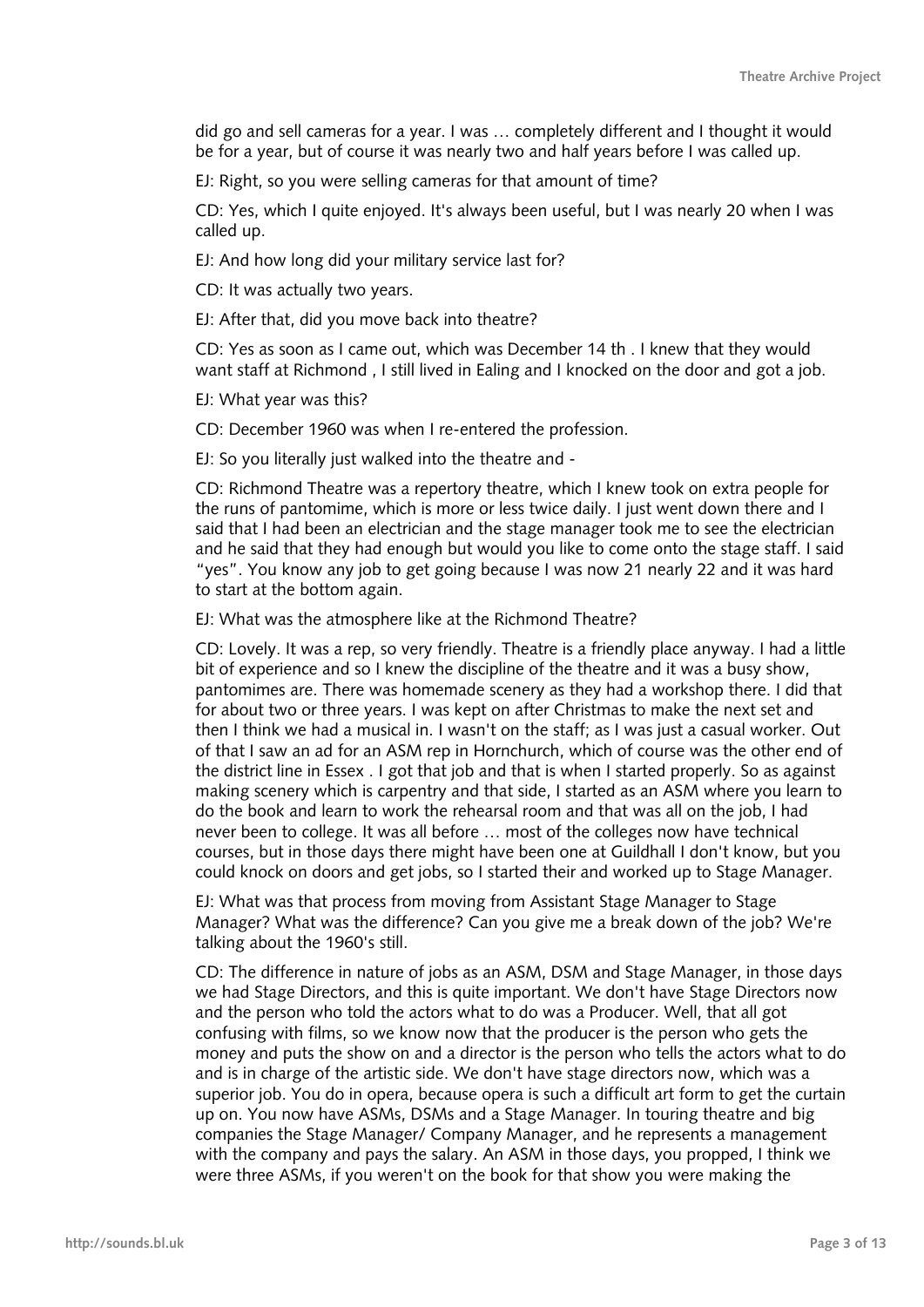did go and sell cameras for a year. I was … completely different and I thought it would be for a year, but of course it was nearly two and half years before I was called up.

EJ: Right, so you were selling cameras for that amount of time?

CD: Yes, which I quite enjoyed. It's always been useful, but I was nearly 20 when I was called up.

EJ: And how long did your military service last for?

CD: It was actually two years.

EJ: After that, did you move back into theatre?

CD: Yes as soon as I came out, which was December 14 th . I knew that they would want staff at Richmond , I still lived in Ealing and I knocked on the door and got a job.

EJ: What year was this?

CD: December 1960 was when I re-entered the profession.

EJ: So you literally just walked into the theatre and -

CD: Richmond Theatre was a repertory theatre, which I knew took on extra people for the runs of pantomime, which is more or less twice daily. I just went down there and I said that I had been an electrician and the stage manager took me to see the electrician and he said that they had enough but would you like to come onto the stage staff. I said "yes". You know any job to get going because I was now 21 nearly 22 and it was hard to start at the bottom again.

EJ: What was the atmosphere like at the Richmond Theatre?

CD: Lovely. It was a rep, so very friendly. Theatre is a friendly place anyway. I had a little bit of experience and so I knew the discipline of the theatre and it was a busy show, pantomimes are. There was homemade scenery as they had a workshop there. I did that for about two or three years. I was kept on after Christmas to make the next set and then I think we had a musical in. I wasn't on the staff; as I was just a casual worker. Out of that I saw an ad for an ASM rep in Hornchurch, which of course was the other end of the district line in Essex . I got that job and that is when I started properly. So as against making scenery which is carpentry and that side, I started as an ASM where you learn to do the book and learn to work the rehearsal room and that was all on the job, I had never been to college. It was all before … most of the colleges now have technical courses, but in those days there might have been one at Guildhall I don't know, but you could knock on doors and get jobs, so I started their and worked up to Stage Manager.

EJ: What was that process from moving from Assistant Stage Manager to Stage Manager? What was the difference? Can you give me a break down of the job? We're talking about the 1960's still.

CD: The difference in nature of jobs as an ASM, DSM and Stage Manager, in those days we had Stage Directors, and this is quite important. We don't have Stage Directors now and the person who told the actors what to do was a Producer. Well, that all got confusing with films, so we know now that the producer is the person who gets the money and puts the show on and a director is the person who tells the actors what to do and is in charge of the artistic side. We don't have stage directors now, which was a superior job. You do in opera, because opera is such a difficult art form to get the curtain up on. You now have ASMs, DSMs and a Stage Manager. In touring theatre and big companies the Stage Manager/ Company Manager, and he represents a management with the company and pays the salary. An ASM in those days, you propped, I think we were three ASMs, if you weren't on the book for that show you were making the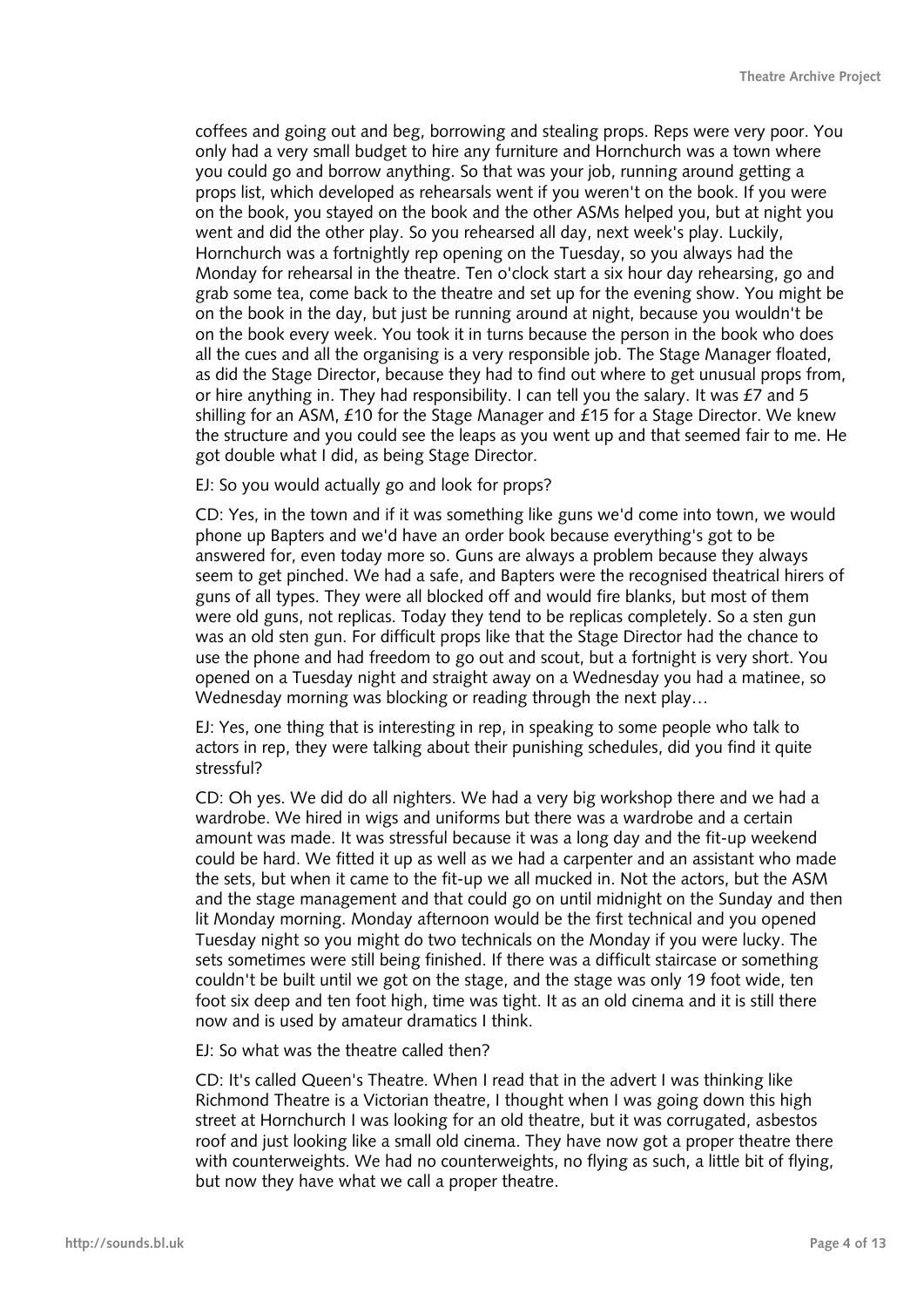coffees and going out and beg, borrowing and stealing props. Reps were very poor. You only had a very small budget to hire any furniture and Hornchurch was a town where you could go and borrow anything. So that was your job, running around getting a props list, which developed as rehearsals went if you weren't on the book. If you were on the book, you stayed on the book and the other ASMs helped you, but at night you went and did the other play. So you rehearsed all day, next week's play. Luckily, Hornchurch was a fortnightly rep opening on the Tuesday, so you always had the Monday for rehearsal in the theatre. Ten o'clock start a six hour day rehearsing, go and grab some tea, come back to the theatre and set up for the evening show. You might be on the book in the day, but just be running around at night, because you wouldn't be on the book every week. You took it in turns because the person in the book who does all the cues and all the organising is a very responsible job. The Stage Manager floated, as did the Stage Director, because they had to find out where to get unusual props from, or hire anything in. They had responsibility. I can tell you the salary. It was £7 and 5 shilling for an ASM, £10 for the Stage Manager and £15 for a Stage Director. We knew the structure and you could see the leaps as you went up and that seemed fair to me. He got double what I did, as being Stage Director.

EJ: So you would actually go and look for props?

CD: Yes, in the town and if it was something like guns we'd come into town, we would phone up Bapters and we'd have an order book because everything's got to be answered for, even today more so. Guns are always a problem because they always seem to get pinched. We had a safe, and Bapters were the recognised theatrical hirers of guns of all types. They were all blocked off and would fire blanks, but most of them were old guns, not replicas. Today they tend to be replicas completely. So a sten gun was an old sten gun. For difficult props like that the Stage Director had the chance to use the phone and had freedom to go out and scout, but a fortnight is very short. You opened on a Tuesday night and straight away on a Wednesday you had a matinee, so Wednesday morning was blocking or reading through the next play…

EJ: Yes, one thing that is interesting in rep, in speaking to some people who talk to actors in rep, they were talking about their punishing schedules, did you find it quite stressful?

CD: Oh yes. We did do all nighters. We had a very big workshop there and we had a wardrobe. We hired in wigs and uniforms but there was a wardrobe and a certain amount was made. It was stressful because it was a long day and the fit-up weekend could be hard. We fitted it up as well as we had a carpenter and an assistant who made the sets, but when it came to the fit-up we all mucked in. Not the actors, but the ASM and the stage management and that could go on until midnight on the Sunday and then lit Monday morning. Monday afternoon would be the first technical and you opened Tuesday night so you might do two technicals on the Monday if you were lucky. The sets sometimes were still being finished. If there was a difficult staircase or something couldn't be built until we got on the stage, and the stage was only 19 foot wide, ten foot six deep and ten foot high, time was tight. It as an old cinema and it is still there now and is used by amateur dramatics I think.

EJ: So what was the theatre called then?

CD: It's called Queen's Theatre. When I read that in the advert I was thinking like Richmond Theatre is a Victorian theatre, I thought when I was going down this high street at Hornchurch I was looking for an old theatre, but it was corrugated, asbestos roof and just looking like a small old cinema. They have now got a proper theatre there with counterweights. We had no counterweights, no flying as such, a little bit of flying, but now they have what we call a proper theatre.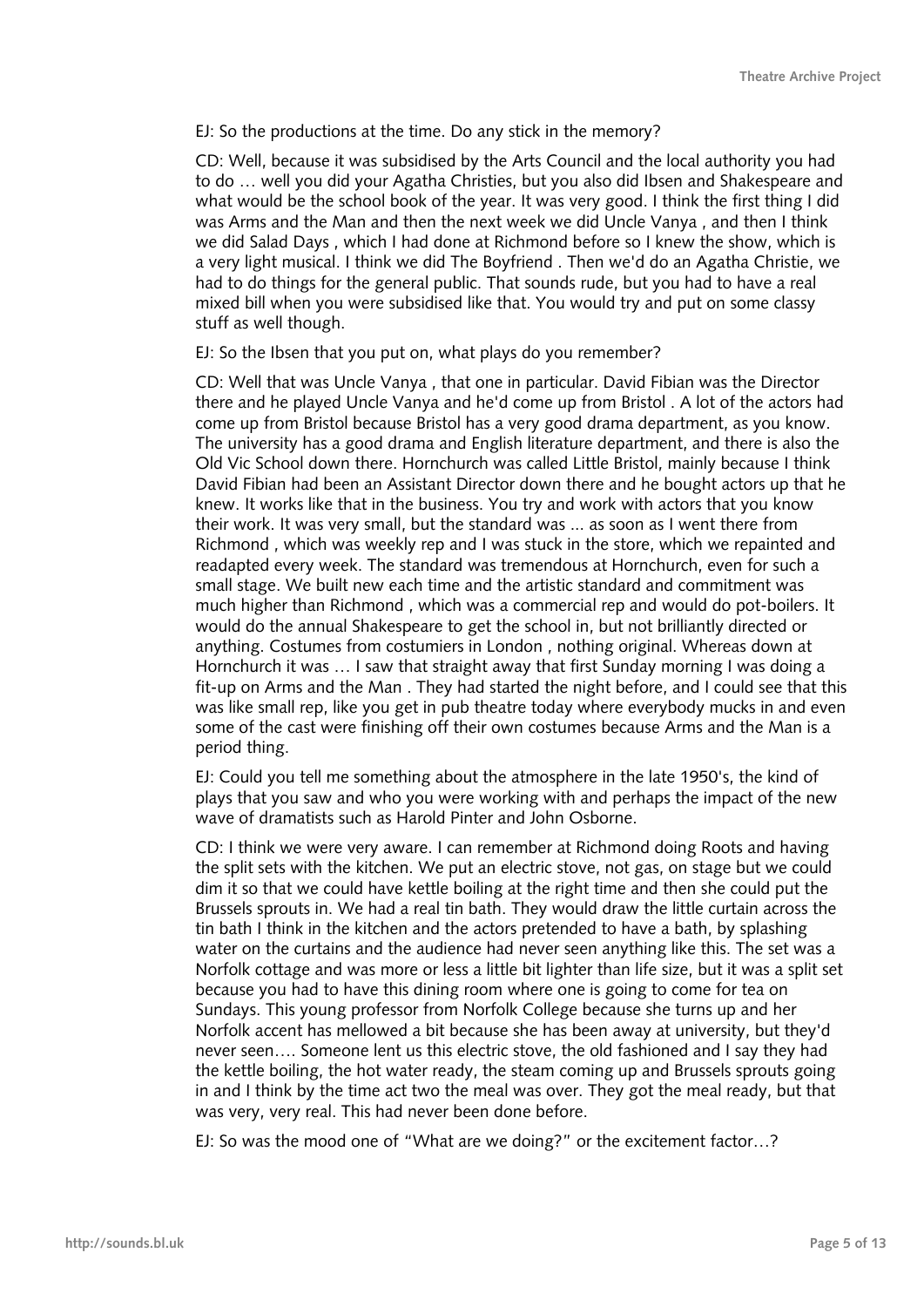EJ: So the productions at the time. Do any stick in the memory?

CD: Well, because it was subsidised by the Arts Council and the local authority you had to do … well you did your Agatha Christies, but you also did Ibsen and Shakespeare and what would be the school book of the year. It was very good. I think the first thing I did was Arms and the Man and then the next week we did Uncle Vanya , and then I think we did Salad Days , which I had done at Richmond before so I knew the show, which is a very light musical. I think we did The Boyfriend . Then we'd do an Agatha Christie, we had to do things for the general public. That sounds rude, but you had to have a real mixed bill when you were subsidised like that. You would try and put on some classy stuff as well though.

EJ: So the Ibsen that you put on, what plays do you remember?

CD: Well that was Uncle Vanya , that one in particular. David Fibian was the Director there and he played Uncle Vanya and he'd come up from Bristol . A lot of the actors had come up from Bristol because Bristol has a very good drama department, as you know. The university has a good drama and English literature department, and there is also the Old Vic School down there. Hornchurch was called Little Bristol, mainly because I think David Fibian had been an Assistant Director down there and he bought actors up that he knew. It works like that in the business. You try and work with actors that you know their work. It was very small, but the standard was ... as soon as I went there from Richmond , which was weekly rep and I was stuck in the store, which we repainted and readapted every week. The standard was tremendous at Hornchurch, even for such a small stage. We built new each time and the artistic standard and commitment was much higher than Richmond , which was a commercial rep and would do pot-boilers. It would do the annual Shakespeare to get the school in, but not brilliantly directed or anything. Costumes from costumiers in London , nothing original. Whereas down at Hornchurch it was … I saw that straight away that first Sunday morning I was doing a fit-up on Arms and the Man . They had started the night before, and I could see that this was like small rep, like you get in pub theatre today where everybody mucks in and even some of the cast were finishing off their own costumes because Arms and the Man is a period thing.

EJ: Could you tell me something about the atmosphere in the late 1950's, the kind of plays that you saw and who you were working with and perhaps the impact of the new wave of dramatists such as Harold Pinter and John Osborne.

CD: I think we were very aware. I can remember at Richmond doing Roots and having the split sets with the kitchen. We put an electric stove, not gas, on stage but we could dim it so that we could have kettle boiling at the right time and then she could put the Brussels sprouts in. We had a real tin bath. They would draw the little curtain across the tin bath I think in the kitchen and the actors pretended to have a bath, by splashing water on the curtains and the audience had never seen anything like this. The set was a Norfolk cottage and was more or less a little bit lighter than life size, but it was a split set because you had to have this dining room where one is going to come for tea on Sundays. This young professor from Norfolk College because she turns up and her Norfolk accent has mellowed a bit because she has been away at university, but they'd never seen…. Someone lent us this electric stove, the old fashioned and I say they had the kettle boiling, the hot water ready, the steam coming up and Brussels sprouts going in and I think by the time act two the meal was over. They got the meal ready, but that was very, very real. This had never been done before.

EJ: So was the mood one of "What are we doing?" or the excitement factor…?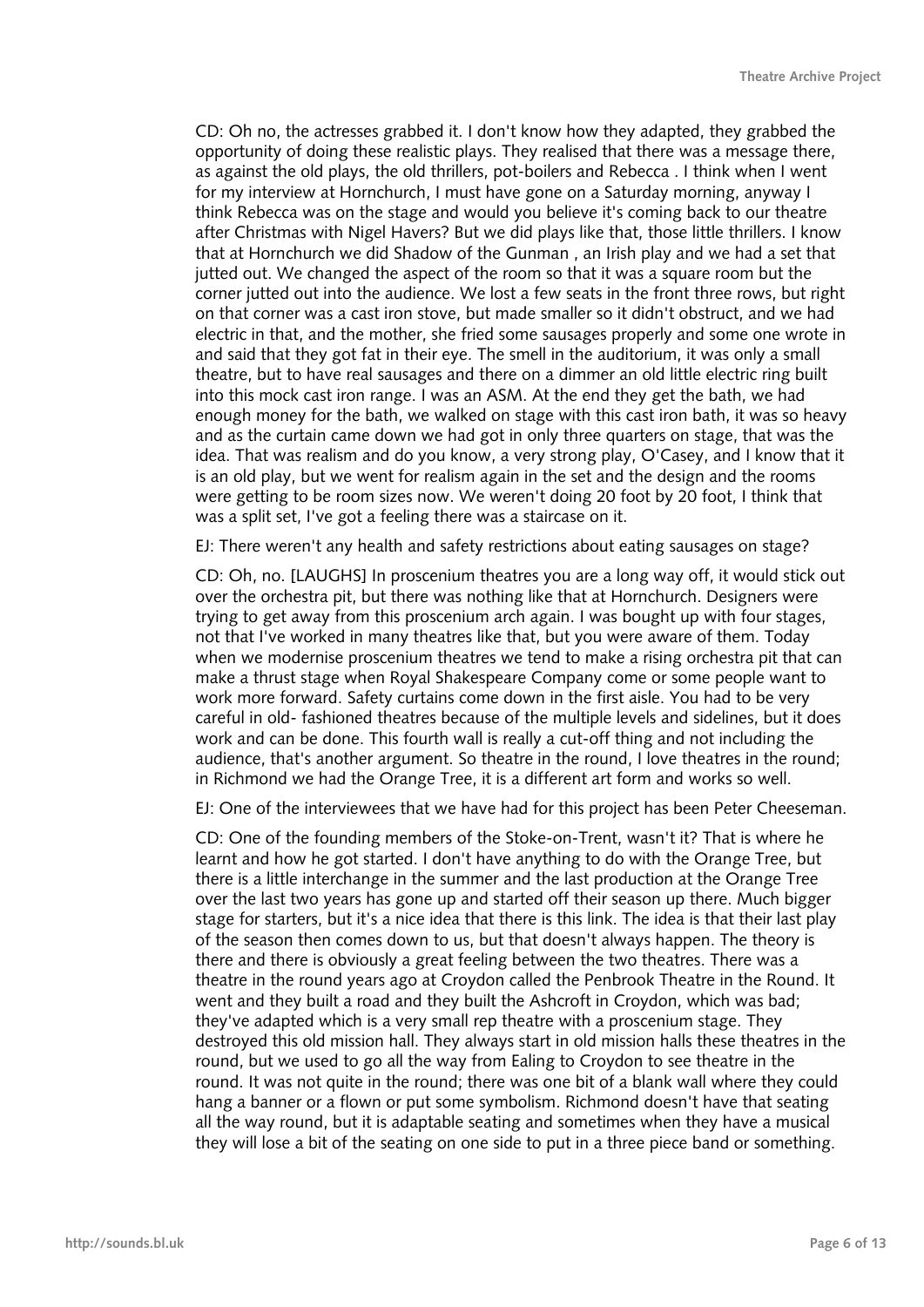CD: Oh no, the actresses grabbed it. I don't know how they adapted, they grabbed the opportunity of doing these realistic plays. They realised that there was a message there, as against the old plays, the old thrillers, pot-boilers and Rebecca . I think when I went for my interview at Hornchurch, I must have gone on a Saturday morning, anyway I think Rebecca was on the stage and would you believe it's coming back to our theatre after Christmas with Nigel Havers? But we did plays like that, those little thrillers. I know that at Hornchurch we did Shadow of the Gunman , an Irish play and we had a set that jutted out. We changed the aspect of the room so that it was a square room but the corner jutted out into the audience. We lost a few seats in the front three rows, but right on that corner was a cast iron stove, but made smaller so it didn't obstruct, and we had electric in that, and the mother, she fried some sausages properly and some one wrote in and said that they got fat in their eye. The smell in the auditorium, it was only a small theatre, but to have real sausages and there on a dimmer an old little electric ring built into this mock cast iron range. I was an ASM. At the end they get the bath, we had enough money for the bath, we walked on stage with this cast iron bath, it was so heavy and as the curtain came down we had got in only three quarters on stage, that was the idea. That was realism and do you know, a very strong play, O'Casey, and I know that it is an old play, but we went for realism again in the set and the design and the rooms were getting to be room sizes now. We weren't doing 20 foot by 20 foot, I think that was a split set, I've got a feeling there was a staircase on it.

EJ: There weren't any health and safety restrictions about eating sausages on stage?

CD: Oh, no. [LAUGHS] In proscenium theatres you are a long way off, it would stick out over the orchestra pit, but there was nothing like that at Hornchurch. Designers were trying to get away from this proscenium arch again. I was bought up with four stages, not that I've worked in many theatres like that, but you were aware of them. Today when we modernise proscenium theatres we tend to make a rising orchestra pit that can make a thrust stage when Royal Shakespeare Company come or some people want to work more forward. Safety curtains come down in the first aisle. You had to be very careful in old- fashioned theatres because of the multiple levels and sidelines, but it does work and can be done. This fourth wall is really a cut-off thing and not including the audience, that's another argument. So theatre in the round, I love theatres in the round; in Richmond we had the Orange Tree, it is a different art form and works so well.

EJ: One of the interviewees that we have had for this project has been Peter Cheeseman.

CD: One of the founding members of the Stoke-on-Trent, wasn't it? That is where he learnt and how he got started. I don't have anything to do with the Orange Tree, but there is a little interchange in the summer and the last production at the Orange Tree over the last two years has gone up and started off their season up there. Much bigger stage for starters, but it's a nice idea that there is this link. The idea is that their last play of the season then comes down to us, but that doesn't always happen. The theory is there and there is obviously a great feeling between the two theatres. There was a theatre in the round years ago at Croydon called the Penbrook Theatre in the Round. It went and they built a road and they built the Ashcroft in Croydon, which was bad; they've adapted which is a very small rep theatre with a proscenium stage. They destroyed this old mission hall. They always start in old mission halls these theatres in the round, but we used to go all the way from Ealing to Croydon to see theatre in the round. It was not quite in the round; there was one bit of a blank wall where they could hang a banner or a flown or put some symbolism. Richmond doesn't have that seating all the way round, but it is adaptable seating and sometimes when they have a musical they will lose a bit of the seating on one side to put in a three piece band or something.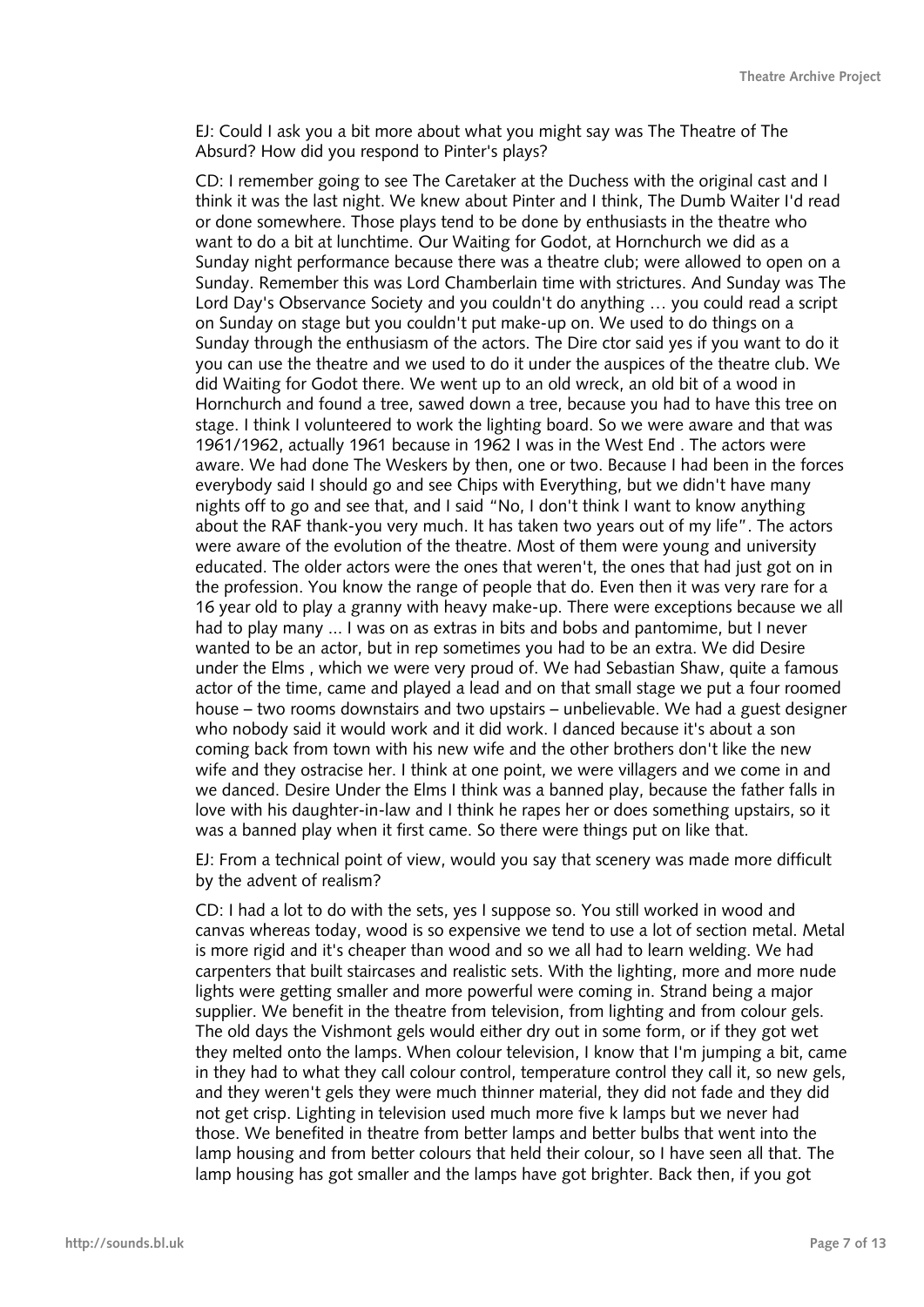EJ: Could I ask you a bit more about what you might say was The Theatre of The Absurd? How did you respond to Pinter's plays?

CD: I remember going to see The Caretaker at the Duchess with the original cast and I think it was the last night. We knew about Pinter and I think, The Dumb Waiter I'd read or done somewhere. Those plays tend to be done by enthusiasts in the theatre who want to do a bit at lunchtime. Our Waiting for Godot, at Hornchurch we did as a Sunday night performance because there was a theatre club; were allowed to open on a Sunday. Remember this was Lord Chamberlain time with strictures. And Sunday was The Lord Day's Observance Society and you couldn't do anything … you could read a script on Sunday on stage but you couldn't put make-up on. We used to do things on a Sunday through the enthusiasm of the actors. The Dire ctor said yes if you want to do it you can use the theatre and we used to do it under the auspices of the theatre club. We did Waiting for Godot there. We went up to an old wreck, an old bit of a wood in Hornchurch and found a tree, sawed down a tree, because you had to have this tree on stage. I think I volunteered to work the lighting board. So we were aware and that was 1961/1962, actually 1961 because in 1962 I was in the West End . The actors were aware. We had done The Weskers by then, one or two. Because I had been in the forces everybody said I should go and see Chips with Everything, but we didn't have many nights off to go and see that, and I said "No, I don't think I want to know anything about the RAF thank-you very much. It has taken two years out of my life". The actors were aware of the evolution of the theatre. Most of them were young and university educated. The older actors were the ones that weren't, the ones that had just got on in the profession. You know the range of people that do. Even then it was very rare for a 16 year old to play a granny with heavy make-up. There were exceptions because we all had to play many ... I was on as extras in bits and bobs and pantomime, but I never wanted to be an actor, but in rep sometimes you had to be an extra. We did Desire under the Elms , which we were very proud of. We had Sebastian Shaw, quite a famous actor of the time, came and played a lead and on that small stage we put a four roomed house – two rooms downstairs and two upstairs – unbelievable. We had a guest designer who nobody said it would work and it did work. I danced because it's about a son coming back from town with his new wife and the other brothers don't like the new wife and they ostracise her. I think at one point, we were villagers and we come in and we danced. Desire Under the Elms I think was a banned play, because the father falls in love with his daughter-in-law and I think he rapes her or does something upstairs, so it was a banned play when it first came. So there were things put on like that.

EJ: From a technical point of view, would you say that scenery was made more difficult by the advent of realism?

CD: I had a lot to do with the sets, yes I suppose so. You still worked in wood and canvas whereas today, wood is so expensive we tend to use a lot of section metal. Metal is more rigid and it's cheaper than wood and so we all had to learn welding. We had carpenters that built staircases and realistic sets. With the lighting, more and more nude lights were getting smaller and more powerful were coming in. Strand being a major supplier. We benefit in the theatre from television, from lighting and from colour gels. The old days the Vishmont gels would either dry out in some form, or if they got wet they melted onto the lamps. When colour television, I know that I'm jumping a bit, came in they had to what they call colour control, temperature control they call it, so new gels, and they weren't gels they were much thinner material, they did not fade and they did not get crisp. Lighting in television used much more five k lamps but we never had those. We benefited in theatre from better lamps and better bulbs that went into the lamp housing and from better colours that held their colour, so I have seen all that. The lamp housing has got smaller and the lamps have got brighter. Back then, if you got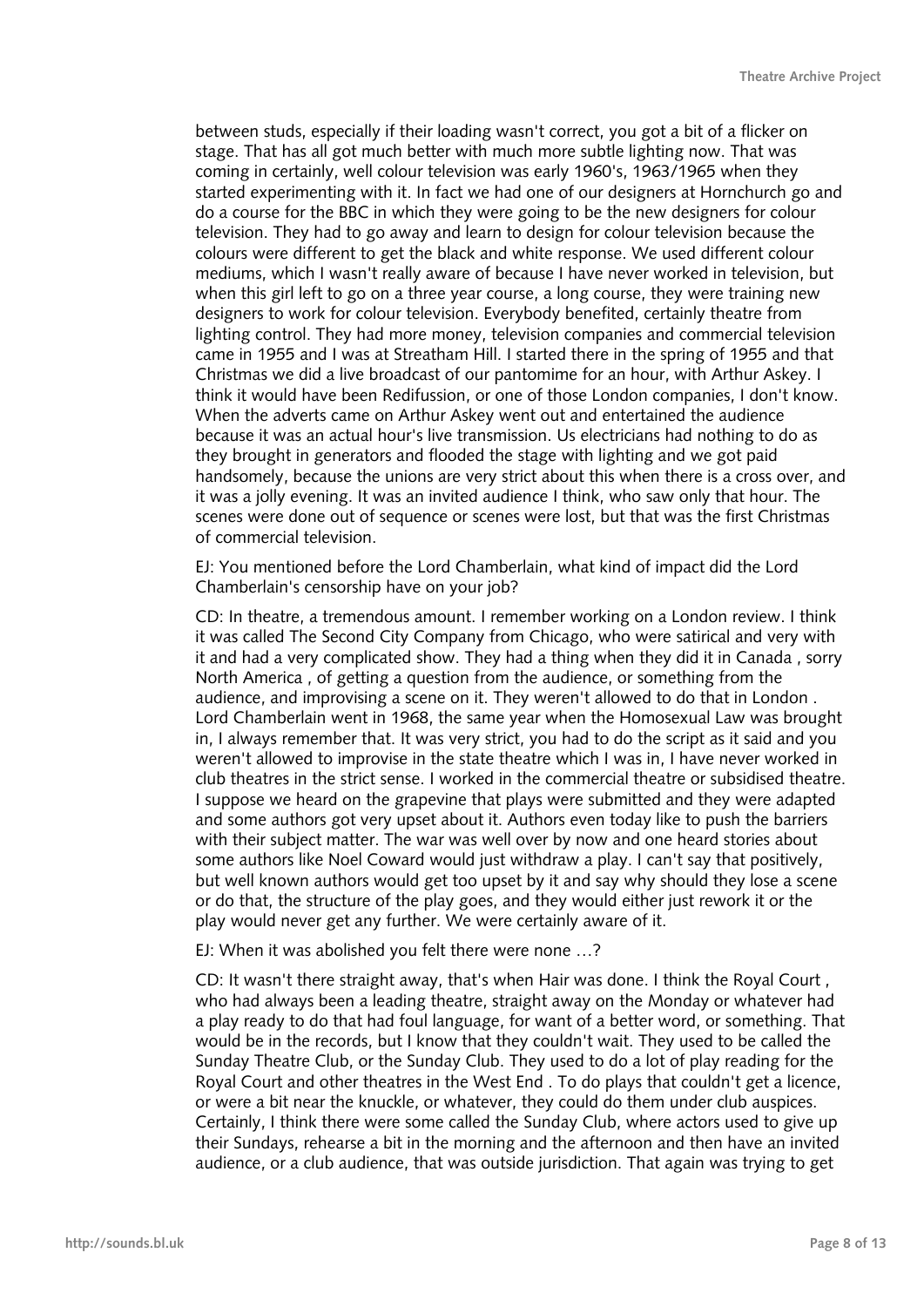between studs, especially if their loading wasn't correct, you got a bit of a flicker on stage. That has all got much better with much more subtle lighting now. That was coming in certainly, well colour television was early 1960's, 1963/1965 when they started experimenting with it. In fact we had one of our designers at Hornchurch go and do a course for the BBC in which they were going to be the new designers for colour television. They had to go away and learn to design for colour television because the colours were different to get the black and white response. We used different colour mediums, which I wasn't really aware of because I have never worked in television, but when this girl left to go on a three year course, a long course, they were training new designers to work for colour television. Everybody benefited, certainly theatre from lighting control. They had more money, television companies and commercial television came in 1955 and I was at Streatham Hill. I started there in the spring of 1955 and that Christmas we did a live broadcast of our pantomime for an hour, with Arthur Askey. I think it would have been Redifussion, or one of those London companies, I don't know. When the adverts came on Arthur Askey went out and entertained the audience because it was an actual hour's live transmission. Us electricians had nothing to do as they brought in generators and flooded the stage with lighting and we got paid handsomely, because the unions are very strict about this when there is a cross over, and it was a jolly evening. It was an invited audience I think, who saw only that hour. The scenes were done out of sequence or scenes were lost, but that was the first Christmas of commercial television.

EJ: You mentioned before the Lord Chamberlain, what kind of impact did the Lord Chamberlain's censorship have on your job?

CD: In theatre, a tremendous amount. I remember working on a London review. I think it was called The Second City Company from Chicago, who were satirical and very with it and had a very complicated show. They had a thing when they did it in Canada , sorry North America , of getting a question from the audience, or something from the audience, and improvising a scene on it. They weren't allowed to do that in London . Lord Chamberlain went in 1968, the same year when the Homosexual Law was brought in, I always remember that. It was very strict, you had to do the script as it said and you weren't allowed to improvise in the state theatre which I was in, I have never worked in club theatres in the strict sense. I worked in the commercial theatre or subsidised theatre. I suppose we heard on the grapevine that plays were submitted and they were adapted and some authors got very upset about it. Authors even today like to push the barriers with their subject matter. The war was well over by now and one heard stories about some authors like Noel Coward would just withdraw a play. I can't say that positively, but well known authors would get too upset by it and say why should they lose a scene or do that, the structure of the play goes, and they would either just rework it or the play would never get any further. We were certainly aware of it.

EJ: When it was abolished you felt there were none …?

CD: It wasn't there straight away, that's when Hair was done. I think the Royal Court , who had always been a leading theatre, straight away on the Monday or whatever had a play ready to do that had foul language, for want of a better word, or something. That would be in the records, but I know that they couldn't wait. They used to be called the Sunday Theatre Club, or the Sunday Club. They used to do a lot of play reading for the Royal Court and other theatres in the West End . To do plays that couldn't get a licence, or were a bit near the knuckle, or whatever, they could do them under club auspices. Certainly, I think there were some called the Sunday Club, where actors used to give up their Sundays, rehearse a bit in the morning and the afternoon and then have an invited audience, or a club audience, that was outside jurisdiction. That again was trying to get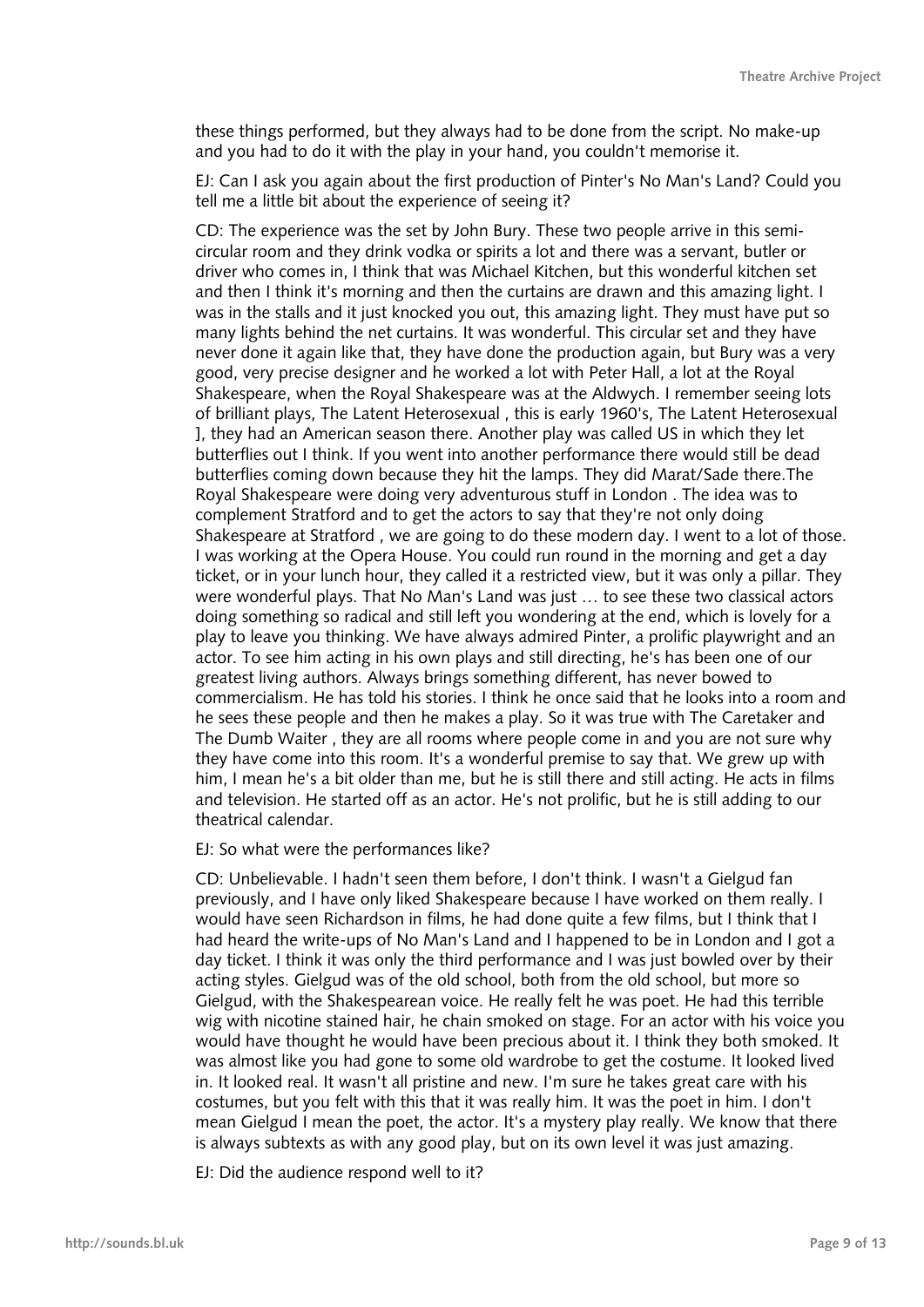these things performed, but they always had to be done from the script. No make-up and you had to do it with the play in your hand, you couldn't memorise it.

EJ: Can I ask you again about the first production of Pinter's No Man's Land? Could you tell me a little bit about the experience of seeing it?

CD: The experience was the set by John Bury. These two people arrive in this semicircular room and they drink vodka or spirits a lot and there was a servant, butler or driver who comes in, I think that was Michael Kitchen, but this wonderful kitchen set and then I think it's morning and then the curtains are drawn and this amazing light. I was in the stalls and it just knocked you out, this amazing light. They must have put so many lights behind the net curtains. It was wonderful. This circular set and they have never done it again like that, they have done the production again, but Bury was a very good, very precise designer and he worked a lot with Peter Hall, a lot at the Royal Shakespeare, when the Royal Shakespeare was at the Aldwych. I remember seeing lots of brilliant plays, The Latent Heterosexual , this is early 1960's, The Latent Heterosexual ], they had an American season there. Another play was called US in which they let butterflies out I think. If you went into another performance there would still be dead butterflies coming down because they hit the lamps. They did Marat/Sade there.The Royal Shakespeare were doing very adventurous stuff in London . The idea was to complement Stratford and to get the actors to say that they're not only doing Shakespeare at Stratford , we are going to do these modern day. I went to a lot of those. I was working at the Opera House. You could run round in the morning and get a day ticket, or in your lunch hour, they called it a restricted view, but it was only a pillar. They were wonderful plays. That No Man's Land was just … to see these two classical actors doing something so radical and still left you wondering at the end, which is lovely for a play to leave you thinking. We have always admired Pinter, a prolific playwright and an actor. To see him acting in his own plays and still directing, he's has been one of our greatest living authors. Always brings something different, has never bowed to commercialism. He has told his stories. I think he once said that he looks into a room and he sees these people and then he makes a play. So it was true with The Caretaker and The Dumb Waiter , they are all rooms where people come in and you are not sure why they have come into this room. It's a wonderful premise to say that. We grew up with him, I mean he's a bit older than me, but he is still there and still acting. He acts in films and television. He started off as an actor. He's not prolific, but he is still adding to our theatrical calendar.

EJ: So what were the performances like?

CD: Unbelievable. I hadn't seen them before, I don't think. I wasn't a Gielgud fan previously, and I have only liked Shakespeare because I have worked on them really. I would have seen Richardson in films, he had done quite a few films, but I think that I had heard the write-ups of No Man's Land and I happened to be in London and I got a day ticket. I think it was only the third performance and I was just bowled over by their acting styles. Gielgud was of the old school, both from the old school, but more so Gielgud, with the Shakespearean voice. He really felt he was poet. He had this terrible wig with nicotine stained hair, he chain smoked on stage. For an actor with his voice you would have thought he would have been precious about it. I think they both smoked. It was almost like you had gone to some old wardrobe to get the costume. It looked lived in. It looked real. It wasn't all pristine and new. I'm sure he takes great care with his costumes, but you felt with this that it was really him. It was the poet in him. I don't mean Gielgud I mean the poet, the actor. It's a mystery play really. We know that there is always subtexts as with any good play, but on its own level it was just amazing.

EJ: Did the audience respond well to it?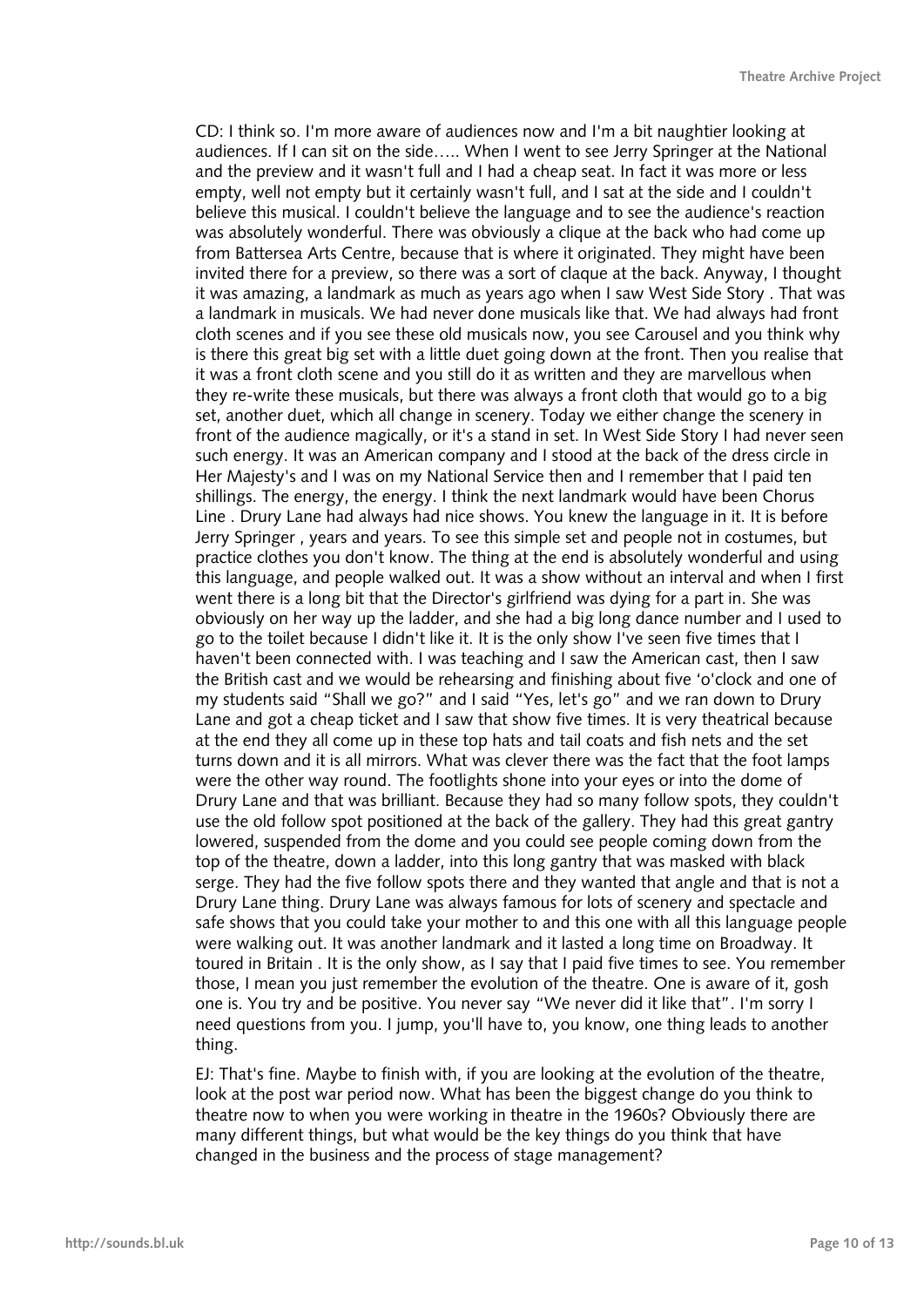CD: I think so. I'm more aware of audiences now and I'm a bit naughtier looking at audiences. If I can sit on the side….. When I went to see Jerry Springer at the National and the preview and it wasn't full and I had a cheap seat. In fact it was more or less empty, well not empty but it certainly wasn't full, and I sat at the side and I couldn't believe this musical. I couldn't believe the language and to see the audience's reaction was absolutely wonderful. There was obviously a clique at the back who had come up from Battersea Arts Centre, because that is where it originated. They might have been invited there for a preview, so there was a sort of claque at the back. Anyway, I thought it was amazing, a landmark as much as years ago when I saw West Side Story . That was a landmark in musicals. We had never done musicals like that. We had always had front cloth scenes and if you see these old musicals now, you see Carousel and you think why is there this great big set with a little duet going down at the front. Then you realise that it was a front cloth scene and you still do it as written and they are marvellous when they re-write these musicals, but there was always a front cloth that would go to a big set, another duet, which all change in scenery. Today we either change the scenery in front of the audience magically, or it's a stand in set. In West Side Story I had never seen such energy. It was an American company and I stood at the back of the dress circle in Her Majesty's and I was on my National Service then and I remember that I paid ten shillings. The energy, the energy. I think the next landmark would have been Chorus Line . Drury Lane had always had nice shows. You knew the language in it. It is before Jerry Springer , years and years. To see this simple set and people not in costumes, but practice clothes you don't know. The thing at the end is absolutely wonderful and using this language, and people walked out. It was a show without an interval and when I first went there is a long bit that the Director's girlfriend was dying for a part in. She was obviously on her way up the ladder, and she had a big long dance number and I used to go to the toilet because I didn't like it. It is the only show I've seen five times that I haven't been connected with. I was teaching and I saw the American cast, then I saw the British cast and we would be rehearsing and finishing about five 'o'clock and one of my students said "Shall we go?" and I said "Yes, let's go" and we ran down to Drury Lane and got a cheap ticket and I saw that show five times. It is very theatrical because at the end they all come up in these top hats and tail coats and fish nets and the set turns down and it is all mirrors. What was clever there was the fact that the foot lamps were the other way round. The footlights shone into your eyes or into the dome of Drury Lane and that was brilliant. Because they had so many follow spots, they couldn't use the old follow spot positioned at the back of the gallery. They had this great gantry lowered, suspended from the dome and you could see people coming down from the top of the theatre, down a ladder, into this long gantry that was masked with black serge. They had the five follow spots there and they wanted that angle and that is not a Drury Lane thing. Drury Lane was always famous for lots of scenery and spectacle and safe shows that you could take your mother to and this one with all this language people were walking out. It was another landmark and it lasted a long time on Broadway. It toured in Britain . It is the only show, as I say that I paid five times to see. You remember those, I mean you just remember the evolution of the theatre. One is aware of it, gosh one is. You try and be positive. You never say "We never did it like that". I'm sorry I need questions from you. I jump, you'll have to, you know, one thing leads to another thing.

EJ: That's fine. Maybe to finish with, if you are looking at the evolution of the theatre, look at the post war period now. What has been the biggest change do you think to theatre now to when you were working in theatre in the 1960s? Obviously there are many different things, but what would be the key things do you think that have changed in the business and the process of stage management?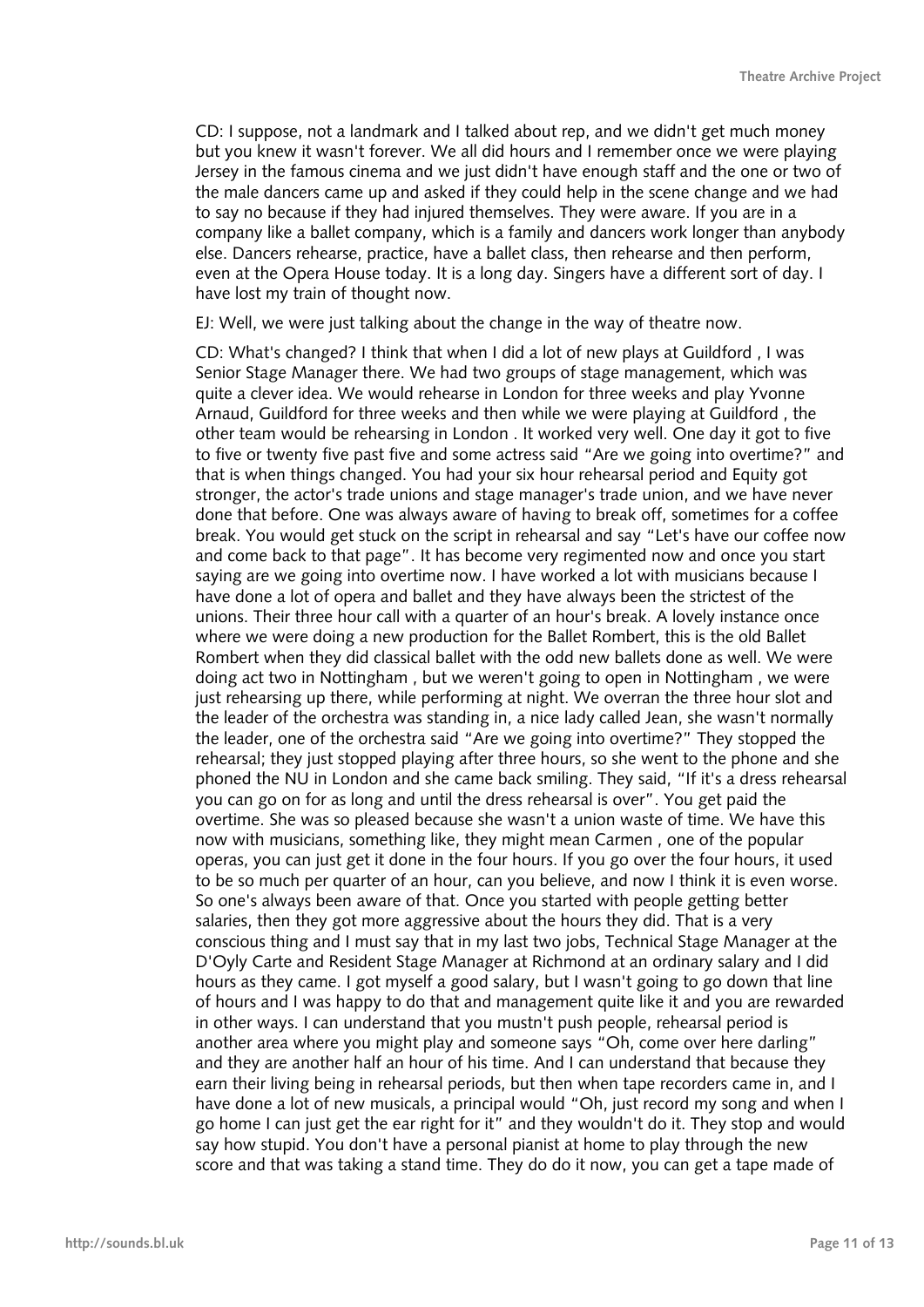CD: I suppose, not a landmark and I talked about rep, and we didn't get much money but you knew it wasn't forever. We all did hours and I remember once we were playing Jersey in the famous cinema and we just didn't have enough staff and the one or two of the male dancers came up and asked if they could help in the scene change and we had to say no because if they had injured themselves. They were aware. If you are in a company like a ballet company, which is a family and dancers work longer than anybody else. Dancers rehearse, practice, have a ballet class, then rehearse and then perform, even at the Opera House today. It is a long day. Singers have a different sort of day. I have lost my train of thought now.

EJ: Well, we were just talking about the change in the way of theatre now.

CD: What's changed? I think that when I did a lot of new plays at Guildford , I was Senior Stage Manager there. We had two groups of stage management, which was quite a clever idea. We would rehearse in London for three weeks and play Yvonne Arnaud, Guildford for three weeks and then while we were playing at Guildford , the other team would be rehearsing in London . It worked very well. One day it got to five to five or twenty five past five and some actress said "Are we going into overtime?" and that is when things changed. You had your six hour rehearsal period and Equity got stronger, the actor's trade unions and stage manager's trade union, and we have never done that before. One was always aware of having to break off, sometimes for a coffee break. You would get stuck on the script in rehearsal and say "Let's have our coffee now and come back to that page". It has become very regimented now and once you start saying are we going into overtime now. I have worked a lot with musicians because I have done a lot of opera and ballet and they have always been the strictest of the unions. Their three hour call with a quarter of an hour's break. A lovely instance once where we were doing a new production for the Ballet Rombert, this is the old Ballet Rombert when they did classical ballet with the odd new ballets done as well. We were doing act two in Nottingham , but we weren't going to open in Nottingham , we were just rehearsing up there, while performing at night. We overran the three hour slot and the leader of the orchestra was standing in, a nice lady called Jean, she wasn't normally the leader, one of the orchestra said "Are we going into overtime?" They stopped the rehearsal; they just stopped playing after three hours, so she went to the phone and she phoned the NU in London and she came back smiling. They said, "If it's a dress rehearsal you can go on for as long and until the dress rehearsal is over". You get paid the overtime. She was so pleased because she wasn't a union waste of time. We have this now with musicians, something like, they might mean Carmen , one of the popular operas, you can just get it done in the four hours. If you go over the four hours, it used to be so much per quarter of an hour, can you believe, and now I think it is even worse. So one's always been aware of that. Once you started with people getting better salaries, then they got more aggressive about the hours they did. That is a very conscious thing and I must say that in my last two jobs, Technical Stage Manager at the D'Oyly Carte and Resident Stage Manager at Richmond at an ordinary salary and I did hours as they came. I got myself a good salary, but I wasn't going to go down that line of hours and I was happy to do that and management quite like it and you are rewarded in other ways. I can understand that you mustn't push people, rehearsal period is another area where you might play and someone says "Oh, come over here darling" and they are another half an hour of his time. And I can understand that because they earn their living being in rehearsal periods, but then when tape recorders came in, and I have done a lot of new musicals, a principal would "Oh, just record my song and when I go home I can just get the ear right for it" and they wouldn't do it. They stop and would say how stupid. You don't have a personal pianist at home to play through the new score and that was taking a stand time. They do do it now, you can get a tape made of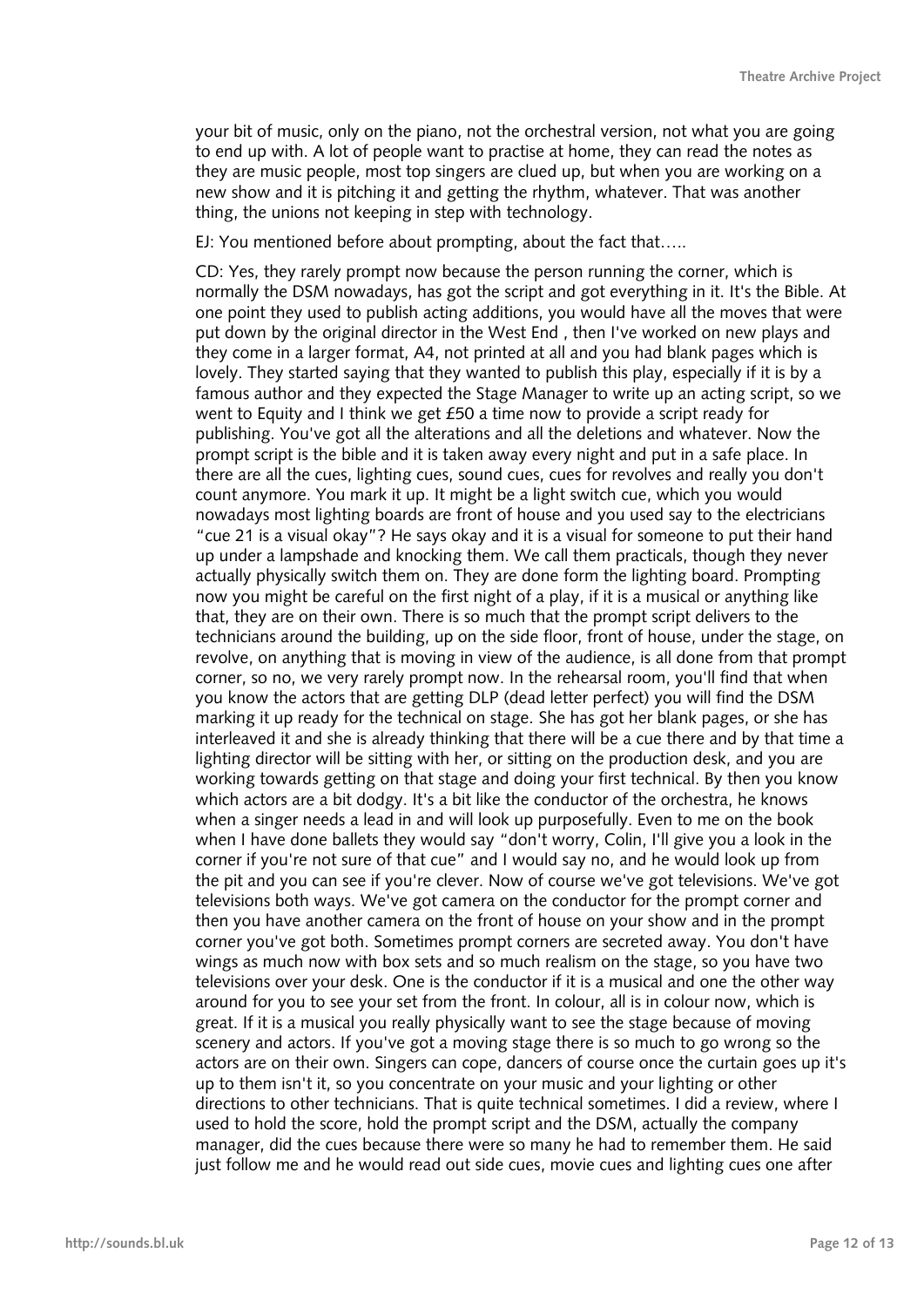your bit of music, only on the piano, not the orchestral version, not what you are going to end up with. A lot of people want to practise at home, they can read the notes as they are music people, most top singers are clued up, but when you are working on a new show and it is pitching it and getting the rhythm, whatever. That was another thing, the unions not keeping in step with technology.

EJ: You mentioned before about prompting, about the fact that…..

CD: Yes, they rarely prompt now because the person running the corner, which is normally the DSM nowadays, has got the script and got everything in it. It's the Bible. At one point they used to publish acting additions, you would have all the moves that were put down by the original director in the West End , then I've worked on new plays and they come in a larger format, A4, not printed at all and you had blank pages which is lovely. They started saying that they wanted to publish this play, especially if it is by a famous author and they expected the Stage Manager to write up an acting script, so we went to Equity and I think we get £50 a time now to provide a script ready for publishing. You've got all the alterations and all the deletions and whatever. Now the prompt script is the bible and it is taken away every night and put in a safe place. In there are all the cues, lighting cues, sound cues, cues for revolves and really you don't count anymore. You mark it up. It might be a light switch cue, which you would nowadays most lighting boards are front of house and you used say to the electricians "cue 21 is a visual okay"? He says okay and it is a visual for someone to put their hand up under a lampshade and knocking them. We call them practicals, though they never actually physically switch them on. They are done form the lighting board. Prompting now you might be careful on the first night of a play, if it is a musical or anything like that, they are on their own. There is so much that the prompt script delivers to the technicians around the building, up on the side floor, front of house, under the stage, on revolve, on anything that is moving in view of the audience, is all done from that prompt corner, so no, we very rarely prompt now. In the rehearsal room, you'll find that when you know the actors that are getting DLP (dead letter perfect) you will find the DSM marking it up ready for the technical on stage. She has got her blank pages, or she has interleaved it and she is already thinking that there will be a cue there and by that time a lighting director will be sitting with her, or sitting on the production desk, and you are working towards getting on that stage and doing your first technical. By then you know which actors are a bit dodgy. It's a bit like the conductor of the orchestra, he knows when a singer needs a lead in and will look up purposefully. Even to me on the book when I have done ballets they would say "don't worry, Colin, I'll give you a look in the corner if you're not sure of that cue" and I would say no, and he would look up from the pit and you can see if you're clever. Now of course we've got televisions. We've got televisions both ways. We've got camera on the conductor for the prompt corner and then you have another camera on the front of house on your show and in the prompt corner you've got both. Sometimes prompt corners are secreted away. You don't have wings as much now with box sets and so much realism on the stage, so you have two televisions over your desk. One is the conductor if it is a musical and one the other way around for you to see your set from the front. In colour, all is in colour now, which is great. If it is a musical you really physically want to see the stage because of moving scenery and actors. If you've got a moving stage there is so much to go wrong so the actors are on their own. Singers can cope, dancers of course once the curtain goes up it's up to them isn't it, so you concentrate on your music and your lighting or other directions to other technicians. That is quite technical sometimes. I did a review, where I used to hold the score, hold the prompt script and the DSM, actually the company manager, did the cues because there were so many he had to remember them. He said just follow me and he would read out side cues, movie cues and lighting cues one after